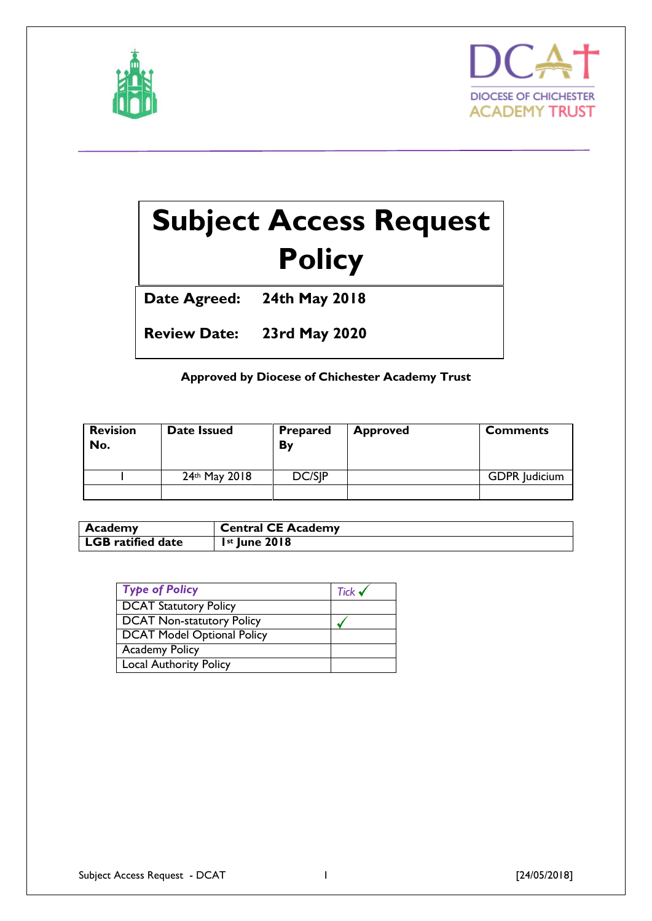



# **Subject Access Request Policy**

**Date Agreed: 24th May 2018**

**Review Date: 23rd May 2020**

## **Approved by Diocese of Chichester Academy Trust**

| <b>Revision</b><br>No. | Date Issued   | <b>Prepared</b><br>Bv | <b>Approved</b> | <b>Comments</b>      |
|------------------------|---------------|-----------------------|-----------------|----------------------|
|                        | 24th May 2018 | DC/SIP                |                 | <b>GDPR</b> Judicium |
|                        |               |                       |                 |                      |

| <b>Academy</b>           | <b>Central CE Academy</b> |
|--------------------------|---------------------------|
| <b>LGB</b> ratified date | $Ist$ June 2018           |

| <b>Type of Policy</b>             | Tick $\checkmark$ |
|-----------------------------------|-------------------|
| <b>DCAT Statutory Policy</b>      |                   |
| <b>DCAT Non-statutory Policy</b>  |                   |
| <b>DCAT Model Optional Policy</b> |                   |
| <b>Academy Policy</b>             |                   |
| <b>Local Authority Policy</b>     |                   |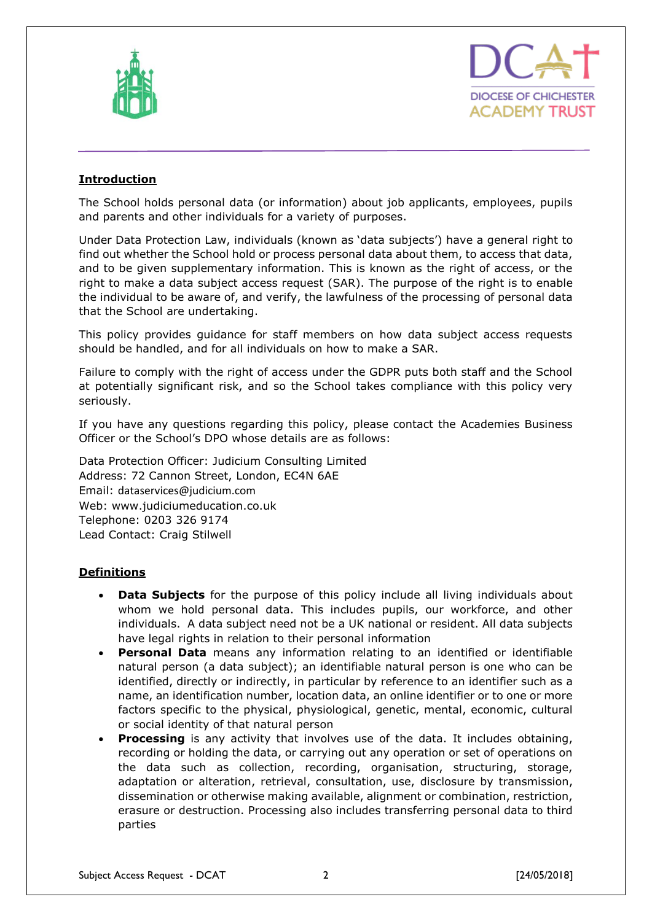



## **Introduction**

The School holds personal data (or information) about job applicants, employees, pupils and parents and other individuals for a variety of purposes.

Under Data Protection Law, individuals (known as 'data subjects') have a general right to find out whether the School hold or process personal data about them, to access that data, and to be given supplementary information. This is known as the right of access, or the right to make a data subject access request (SAR). The purpose of the right is to enable the individual to be aware of, and verify, the lawfulness of the processing of personal data that the School are undertaking.

This policy provides guidance for staff members on how data subject access requests should be handled, and for all individuals on how to make a SAR.

Failure to comply with the right of access under the GDPR puts both staff and the School at potentially significant risk, and so the School takes compliance with this policy very seriously.

If you have any questions regarding this policy, please contact the Academies Business Officer or the School's DPO whose details are as follows:

Data Protection Officer: Judicium Consulting Limited Address: 72 Cannon Street, London, EC4N 6AE Email: [dataservices@judicium.com](mailto:dataservices@judicium.com) Web: www.judiciumeducation.co.uk Telephone: 0203 326 9174 Lead Contact: Craig Stilwell

## **Definitions**

- **Data Subjects** for the purpose of this policy include all living individuals about whom we hold personal data. This includes pupils, our workforce, and other individuals. A data subject need not be a UK national or resident. All data subjects have legal rights in relation to their personal information
- **Personal Data** means any information relating to an identified or identifiable natural person (a data subject); an identifiable natural person is one who can be identified, directly or indirectly, in particular by reference to an identifier such as a name, an identification number, location data, an online identifier or to one or more factors specific to the physical, physiological, genetic, mental, economic, cultural or social identity of that natural person
- **Processing** is any activity that involves use of the data. It includes obtaining, recording or holding the data, or carrying out any operation or set of operations on the data such as collection, recording, organisation, structuring, storage, adaptation or alteration, retrieval, consultation, use, disclosure by transmission, dissemination or otherwise making available, alignment or combination, restriction, erasure or destruction. Processing also includes transferring personal data to third parties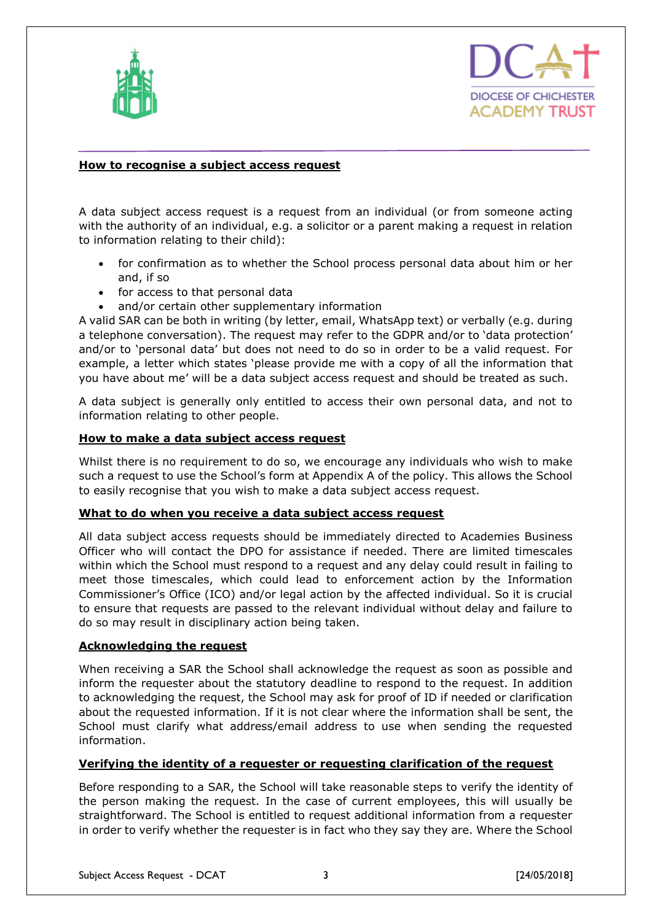



### **How to recognise a subject access request**

A data subject access request is a request from an individual (or from someone acting with the authority of an individual, e.g. a solicitor or a parent making a request in relation to information relating to their child):

- for confirmation as to whether the School process personal data about him or her and, if so
- for access to that personal data
- and/or certain other supplementary information

A valid SAR can be both in writing (by letter, email, WhatsApp text) or verbally (e.g. during a telephone conversation). The request may refer to the GDPR and/or to 'data protection' and/or to 'personal data' but does not need to do so in order to be a valid request. For example, a letter which states 'please provide me with a copy of all the information that you have about me' will be a data subject access request and should be treated as such.

A data subject is generally only entitled to access their own personal data, and not to information relating to other people.

#### **How to make a data subject access request**

Whilst there is no requirement to do so, we encourage any individuals who wish to make such a request to use the School's form at Appendix A of the policy. This allows the School to easily recognise that you wish to make a data subject access request.

#### **What to do when you receive a data subject access request**

All data subject access requests should be immediately directed to Academies Business Officer who will contact the DPO for assistance if needed. There are limited timescales within which the School must respond to a request and any delay could result in failing to meet those timescales, which could lead to enforcement action by the Information Commissioner's Office (ICO) and/or legal action by the affected individual. So it is crucial to ensure that requests are passed to the relevant individual without delay and failure to do so may result in disciplinary action being taken.

#### **Acknowledging the request**

When receiving a SAR the School shall acknowledge the request as soon as possible and inform the requester about the statutory deadline to respond to the request. In addition to acknowledging the request, the School may ask for proof of ID if needed or clarification about the requested information. If it is not clear where the information shall be sent, the School must clarify what address/email address to use when sending the requested information.

#### **Verifying the identity of a requester or requesting clarification of the request**

Before responding to a SAR, the School will take reasonable steps to verify the identity of the person making the request. In the case of current employees, this will usually be straightforward. The School is entitled to request additional information from a requester in order to verify whether the requester is in fact who they say they are. Where the School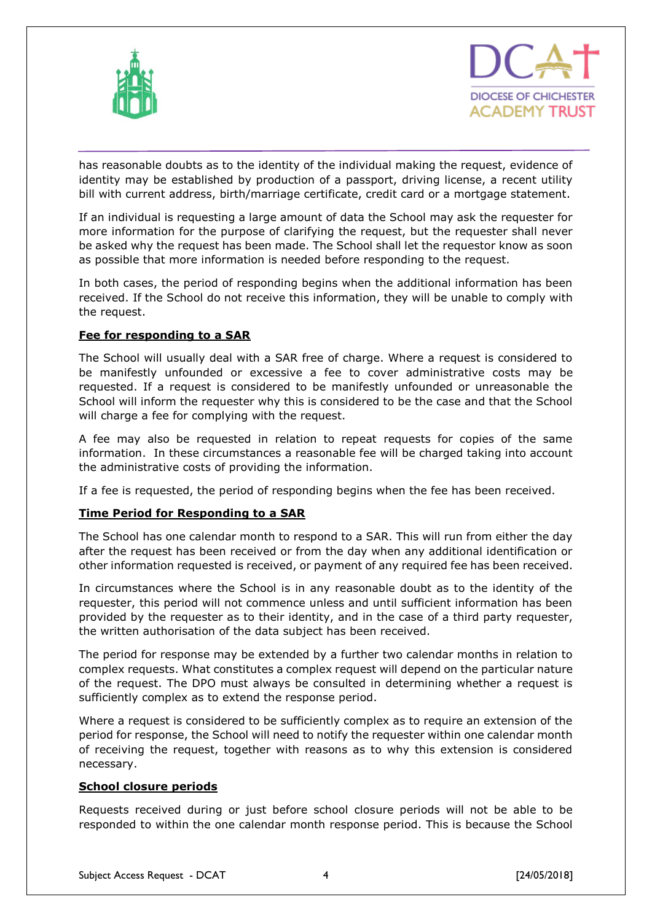



has reasonable doubts as to the identity of the individual making the request, evidence of identity may be established by production of a passport, driving license, a recent utility bill with current address, birth/marriage certificate, credit card or a mortgage statement.

If an individual is requesting a large amount of data the School may ask the requester for more information for the purpose of clarifying the request, but the requester shall never be asked why the request has been made. The School shall let the requestor know as soon as possible that more information is needed before responding to the request.

In both cases, the period of responding begins when the additional information has been received. If the School do not receive this information, they will be unable to comply with the request.

### **Fee for responding to a SAR**

The School will usually deal with a SAR free of charge. Where a request is considered to be manifestly unfounded or excessive a fee to cover administrative costs may be requested. If a request is considered to be manifestly unfounded or unreasonable the School will inform the requester why this is considered to be the case and that the School will charge a fee for complying with the request.

A fee may also be requested in relation to repeat requests for copies of the same information. In these circumstances a reasonable fee will be charged taking into account the administrative costs of providing the information.

If a fee is requested, the period of responding begins when the fee has been received.

#### **Time Period for Responding to a SAR**

The School has one calendar month to respond to a SAR. This will run from either the day after the request has been received or from the day when any additional identification or other information requested is received, or payment of any required fee has been received.

In circumstances where the School is in any reasonable doubt as to the identity of the requester, this period will not commence unless and until sufficient information has been provided by the requester as to their identity, and in the case of a third party requester, the written authorisation of the data subject has been received.

The period for response may be extended by a further two calendar months in relation to complex requests. What constitutes a complex request will depend on the particular nature of the request. The DPO must always be consulted in determining whether a request is sufficiently complex as to extend the response period.

Where a request is considered to be sufficiently complex as to require an extension of the period for response, the School will need to notify the requester within one calendar month of receiving the request, together with reasons as to why this extension is considered necessary.

#### **School closure periods**

Requests received during or just before school closure periods will not be able to be responded to within the one calendar month response period. This is because the School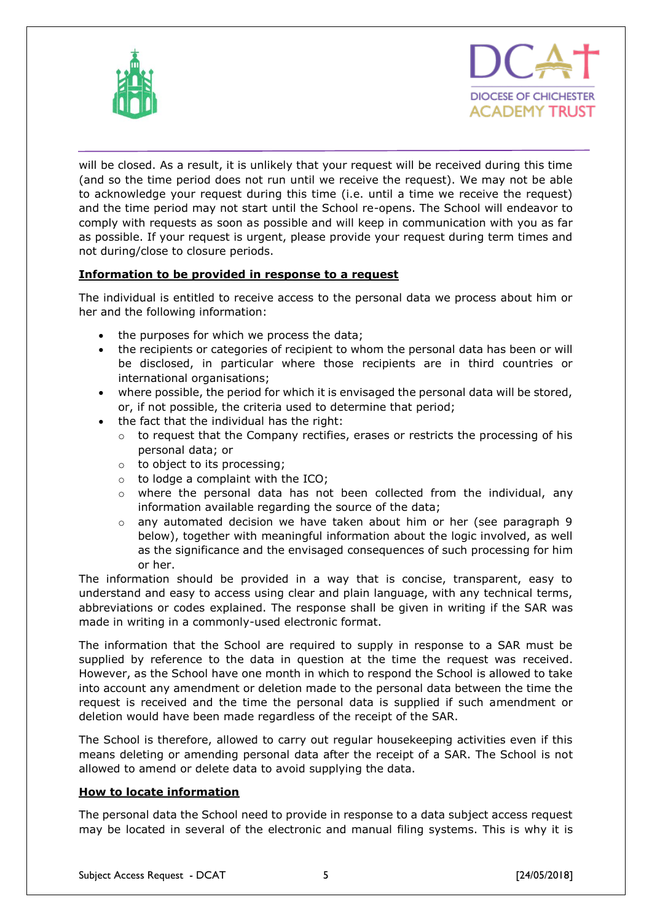



will be closed. As a result, it is unlikely that your request will be received during this time (and so the time period does not run until we receive the request). We may not be able to acknowledge your request during this time (i.e. until a time we receive the request) and the time period may not start until the School re-opens. The School will endeavor to comply with requests as soon as possible and will keep in communication with you as far as possible. If your request is urgent, please provide your request during term times and not during/close to closure periods.

## **Information to be provided in response to a request**

The individual is entitled to receive access to the personal data we process about him or her and the following information:

- the purposes for which we process the data;
- the recipients or categories of recipient to whom the personal data has been or will be disclosed, in particular where those recipients are in third countries or international organisations;
- where possible, the period for which it is envisaged the personal data will be stored, or, if not possible, the criteria used to determine that period;
- the fact that the individual has the right:
	- $\circ$  to request that the Company rectifies, erases or restricts the processing of his personal data; or
	- o to object to its processing;
	- $\circ$  to lodge a complaint with the ICO;
	- $\circ$  where the personal data has not been collected from the individual, any information available regarding the source of the data;
	- $\circ$  any automated decision we have taken about him or her (see paragraph 9 below), together with meaningful information about the logic involved, as well as the significance and the envisaged consequences of such processing for him or her.

The information should be provided in a way that is concise, transparent, easy to understand and easy to access using clear and plain language, with any technical terms, abbreviations or codes explained. The response shall be given in writing if the SAR was made in writing in a commonly-used electronic format.

The information that the School are required to supply in response to a SAR must be supplied by reference to the data in question at the time the request was received. However, as the School have one month in which to respond the School is allowed to take into account any amendment or deletion made to the personal data between the time the request is received and the time the personal data is supplied if such amendment or deletion would have been made regardless of the receipt of the SAR.

The School is therefore, allowed to carry out regular housekeeping activities even if this means deleting or amending personal data after the receipt of a SAR. The School is not allowed to amend or delete data to avoid supplying the data.

## **How to locate information**

The personal data the School need to provide in response to a data subject access request may be located in several of the electronic and manual filing systems. This is why it is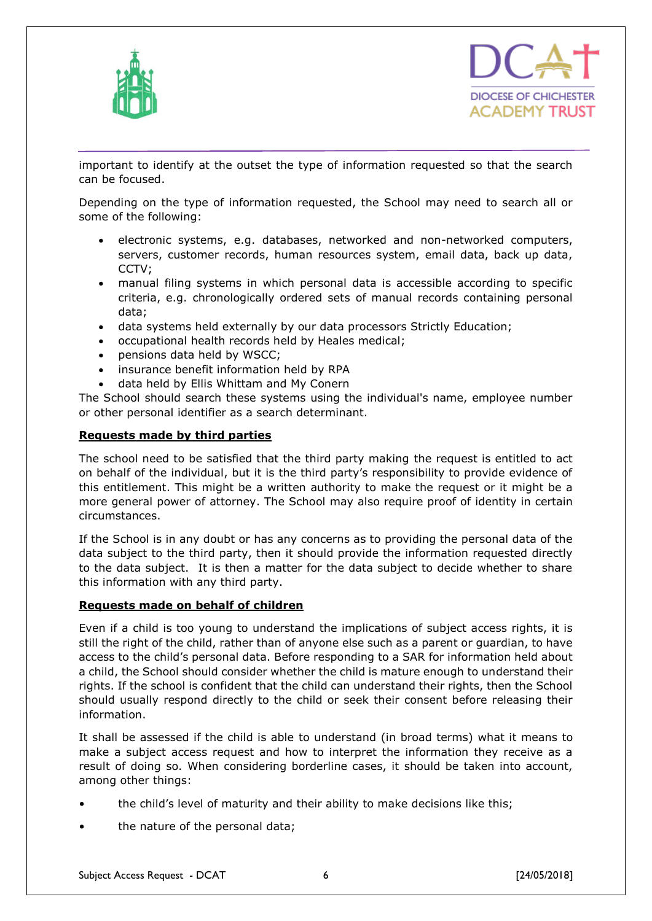



important to identify at the outset the type of information requested so that the search can be focused.

Depending on the type of information requested, the School may need to search all or some of the following:

- electronic systems, e.g. databases, networked and non-networked computers, servers, customer records, human resources system, email data, back up data, CCTV;
- manual filing systems in which personal data is accessible according to specific criteria, e.g. chronologically ordered sets of manual records containing personal data;
- data systems held externally by our data processors Strictly Education;
- occupational health records held by Heales medical;
- pensions data held by WSCC;
- insurance benefit information held by RPA
- data held by Ellis Whittam and My Conern

The School should search these systems using the individual's name, employee number or other personal identifier as a search determinant.

#### **Requests made by third parties**

The school need to be satisfied that the third party making the request is entitled to act on behalf of the individual, but it is the third party's responsibility to provide evidence of this entitlement. This might be a written authority to make the request or it might be a more general power of attorney. The School may also require proof of identity in certain circumstances.

If the School is in any doubt or has any concerns as to providing the personal data of the data subject to the third party, then it should provide the information requested directly to the data subject. It is then a matter for the data subject to decide whether to share this information with any third party.

#### **Requests made on behalf of children**

Even if a child is too young to understand the implications of subject access rights, it is still the right of the child, rather than of anyone else such as a parent or guardian, to have access to the child's personal data. Before responding to a SAR for information held about a child, the School should consider whether the child is mature enough to understand their rights. If the school is confident that the child can understand their rights, then the School should usually respond directly to the child or seek their consent before releasing their information.

It shall be assessed if the child is able to understand (in broad terms) what it means to make a subject access request and how to interpret the information they receive as a result of doing so. When considering borderline cases, it should be taken into account, among other things:

- the child's level of maturity and their ability to make decisions like this;
- the nature of the personal data;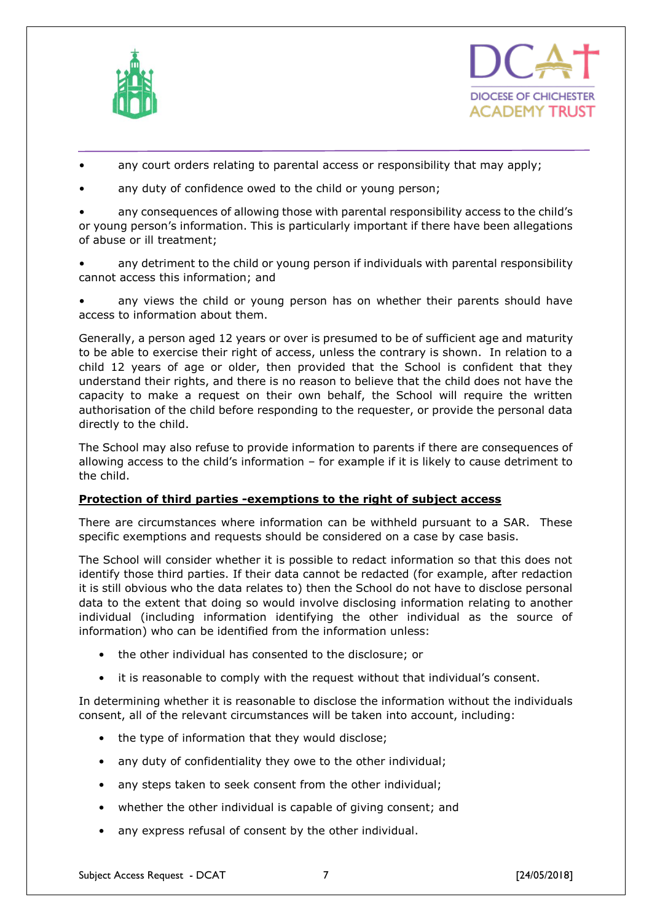



- any court orders relating to parental access or responsibility that may apply;
- any duty of confidence owed to the child or young person;

any consequences of allowing those with parental responsibility access to the child's or young person's information. This is particularly important if there have been allegations of abuse or ill treatment;

• any detriment to the child or young person if individuals with parental responsibility cannot access this information; and

any views the child or young person has on whether their parents should have access to information about them.

Generally, a person aged 12 years or over is presumed to be of sufficient age and maturity to be able to exercise their right of access, unless the contrary is shown. In relation to a child 12 years of age or older, then provided that the School is confident that they understand their rights, and there is no reason to believe that the child does not have the capacity to make a request on their own behalf, the School will require the written authorisation of the child before responding to the requester, or provide the personal data directly to the child.

The School may also refuse to provide information to parents if there are consequences of allowing access to the child's information – for example if it is likely to cause detriment to the child.

## **Protection of third parties -exemptions to the right of subject access**

There are circumstances where information can be withheld pursuant to a SAR. These specific exemptions and requests should be considered on a case by case basis.

The School will consider whether it is possible to redact information so that this does not identify those third parties. If their data cannot be redacted (for example, after redaction it is still obvious who the data relates to) then the School do not have to disclose personal data to the extent that doing so would involve disclosing information relating to another individual (including information identifying the other individual as the source of information) who can be identified from the information unless:

- the other individual has consented to the disclosure; or
- it is reasonable to comply with the request without that individual's consent.

In determining whether it is reasonable to disclose the information without the individuals consent, all of the relevant circumstances will be taken into account, including:

- the type of information that they would disclose;
- any duty of confidentiality they owe to the other individual;
- any steps taken to seek consent from the other individual;
- whether the other individual is capable of giving consent; and
- any express refusal of consent by the other individual.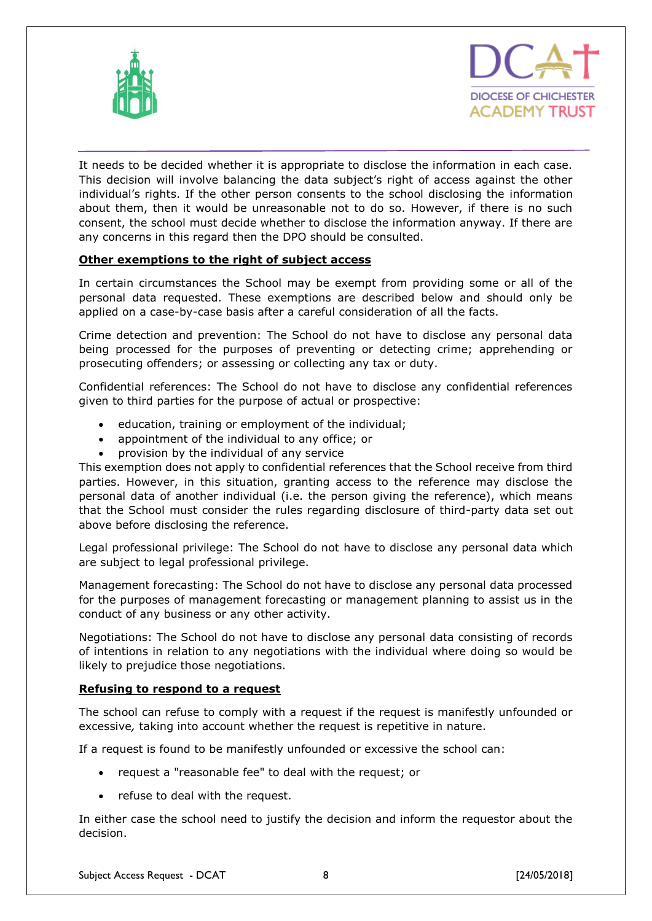



It needs to be decided whether it is appropriate to disclose the information in each case. This decision will involve balancing the data subject's right of access against the other individual's rights. If the other person consents to the school disclosing the information about them, then it would be unreasonable not to do so. However, if there is no such consent, the school must decide whether to disclose the information anyway. If there are any concerns in this regard then the DPO should be consulted.

### **Other exemptions to the right of subject access**

In certain circumstances the School may be exempt from providing some or all of the personal data requested. These exemptions are described below and should only be applied on a case-by-case basis after a careful consideration of all the facts.

Crime detection and prevention: The School do not have to disclose any personal data being processed for the purposes of preventing or detecting crime; apprehending or prosecuting offenders; or assessing or collecting any tax or duty.

Confidential references: The School do not have to disclose any confidential references given to third parties for the purpose of actual or prospective:

- education, training or employment of the individual;
- appointment of the individual to any office; or
- provision by the individual of any service

This exemption does not apply to confidential references that the School receive from third parties. However, in this situation, granting access to the reference may disclose the personal data of another individual (i.e. the person giving the reference), which means that the School must consider the rules regarding disclosure of third-party data set out above before disclosing the reference.

Legal professional privilege: The School do not have to disclose any personal data which are subject to legal professional privilege.

Management forecasting: The School do not have to disclose any personal data processed for the purposes of management forecasting or management planning to assist us in the conduct of any business or any other activity.

Negotiations: The School do not have to disclose any personal data consisting of records of intentions in relation to any negotiations with the individual where doing so would be likely to prejudice those negotiations.

#### **Refusing to respond to a request**

The school can refuse to comply with a request if the request is manifestly unfounded or excessive*,* taking into account whether the request is repetitive in nature.

If a request is found to be manifestly unfounded or excessive the school can:

- request a "reasonable fee" to deal with the request; or
- refuse to deal with the request.

In either case the school need to justify the decision and inform the requestor about the decision.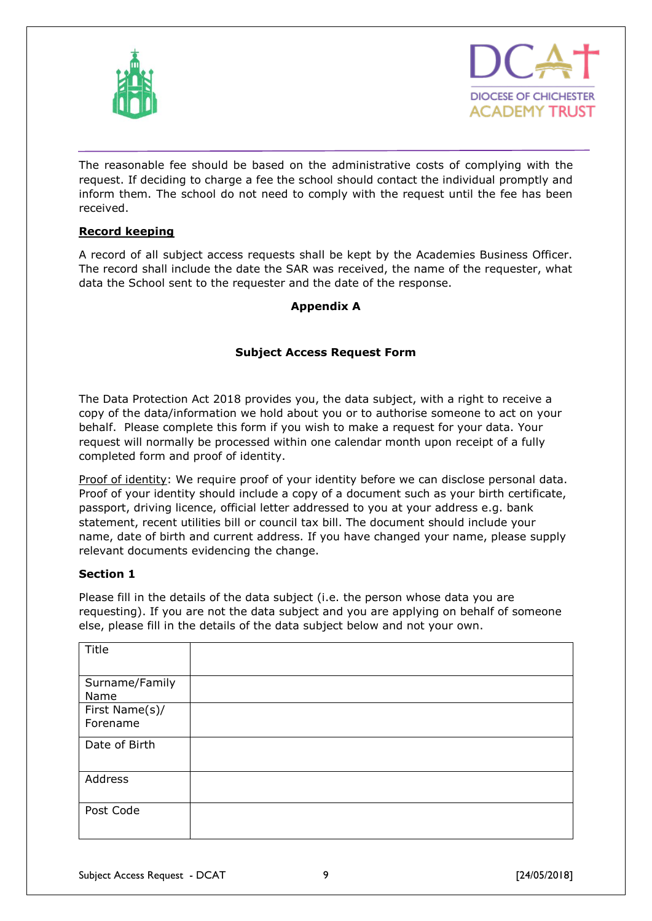



The reasonable fee should be based on the administrative costs of complying with the request. If deciding to charge a fee the school should contact the individual promptly and inform them. The school do not need to comply with the request until the fee has been received.

### **Record keeping**

A record of all subject access requests shall be kept by the Academies Business Officer. The record shall include the date the SAR was received, the name of the requester, what data the School sent to the requester and the date of the response.

## **Appendix A**

## **Subject Access Request Form**

The Data Protection Act 2018 provides you, the data subject, with a right to receive a copy of the data/information we hold about you or to authorise someone to act on your behalf. Please complete this form if you wish to make a request for your data. Your request will normally be processed within one calendar month upon receipt of a fully completed form and proof of identity.

Proof of identity: We require proof of your identity before we can disclose personal data. Proof of your identity should include a copy of a document such as your birth certificate, passport, driving licence, official letter addressed to you at your address e.g. bank statement, recent utilities bill or council tax bill. The document should include your name, date of birth and current address. If you have changed your name, please supply relevant documents evidencing the change.

#### **Section 1**

Please fill in the details of the data subject (i.e. the person whose data you are requesting). If you are not the data subject and you are applying on behalf of someone else, please fill in the details of the data subject below and not your own.

| Title                      |  |
|----------------------------|--|
| Surname/Family<br>Name     |  |
| First Name(s)/<br>Forename |  |
| Date of Birth              |  |
| Address                    |  |
| Post Code                  |  |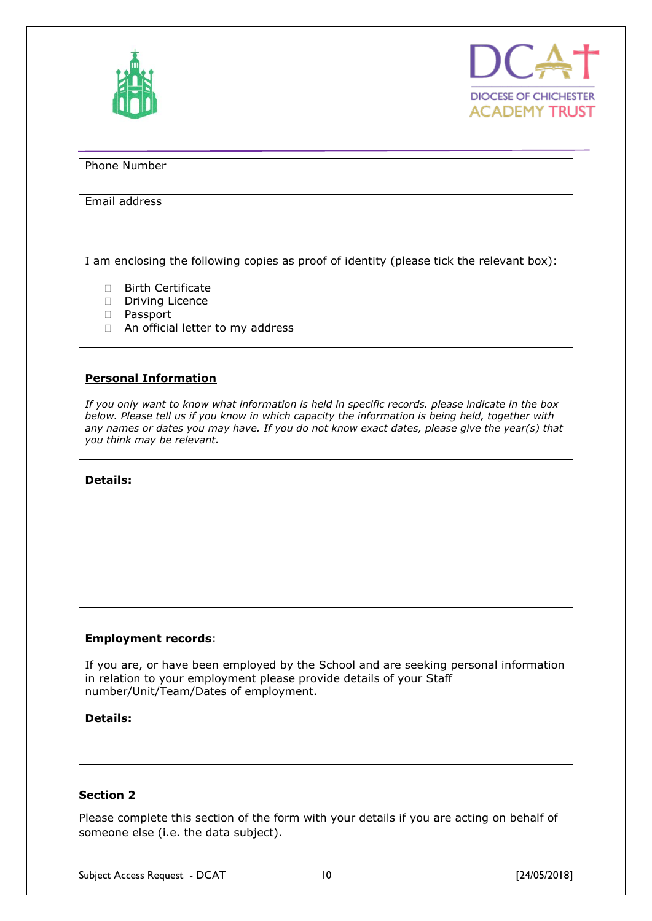



| Phone Number  |  |
|---------------|--|
| Email address |  |

I am enclosing the following copies as proof of identity (please tick the relevant box):

- □ Birth Certificate
- Driving Licence
- Passport
- □ An official letter to my address

#### **Personal Information**

*If you only want to know what information is held in specific records. please indicate in the box below. Please tell us if you know in which capacity the information is being held, together with any names or dates you may have. If you do not know exact dates, please give the year(s) that you think may be relevant.* 

**Details:** 

#### **Employment records**:

If you are, or have been employed by the School and are seeking personal information in relation to your employment please provide details of your Staff number/Unit/Team/Dates of employment.

#### **Details:**

## **Section 2**

Please complete this section of the form with your details if you are acting on behalf of someone else (i.e. the data subject).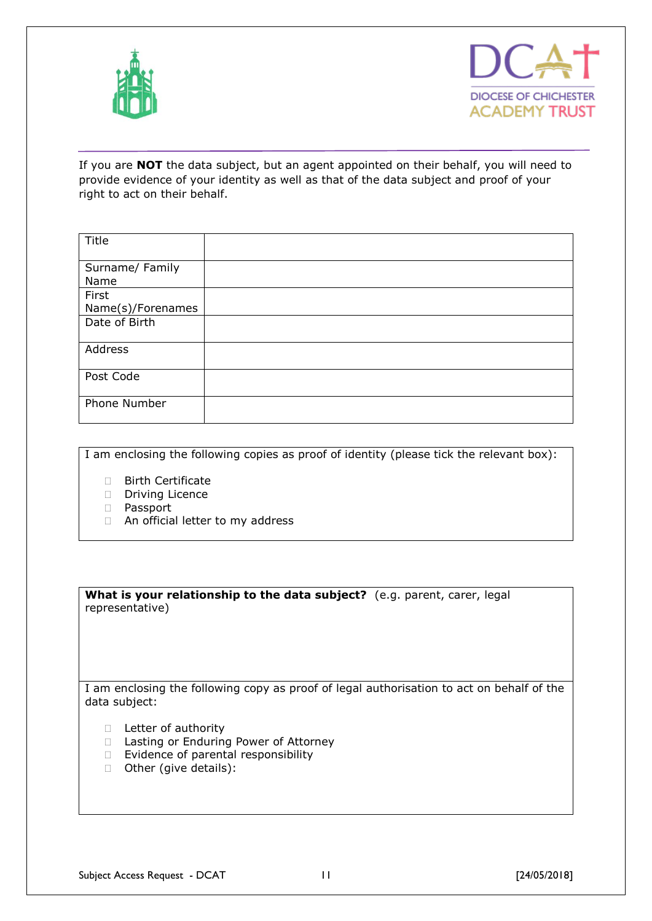



If you are **NOT** the data subject, but an agent appointed on their behalf, you will need to provide evidence of your identity as well as that of the data subject and proof of your right to act on their behalf.

| Title             |  |
|-------------------|--|
|                   |  |
| Surname/ Family   |  |
| Name              |  |
| First             |  |
| Name(s)/Forenames |  |
| Date of Birth     |  |
|                   |  |
| Address           |  |
|                   |  |
| Post Code         |  |
|                   |  |
| Phone Number      |  |
|                   |  |
|                   |  |

I am enclosing the following copies as proof of identity (please tick the relevant box):

- □ Birth Certificate
- Driving Licence
- Passport
- □ An official letter to my address

**What is your relationship to the data subject?** (e.g. parent, carer, legal representative)

I am enclosing the following copy as proof of legal authorisation to act on behalf of the data subject:

- D Letter of authority
- □ Lasting or Enduring Power of Attorney
- $\Box$  Evidence of parental responsibility
- □ Other (give details):